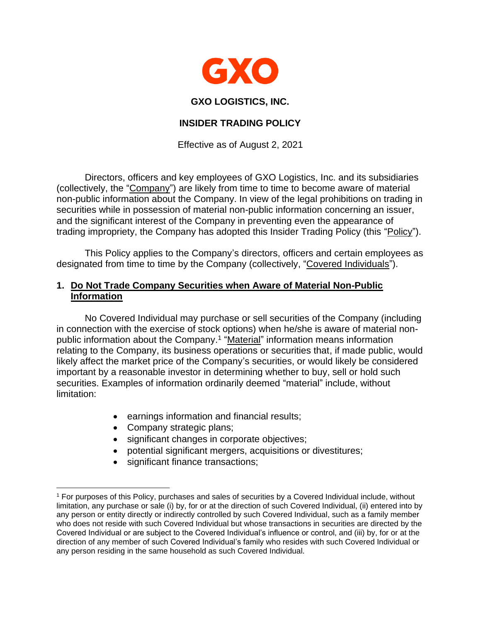

#### **GXO LOGISTICS, INC.**

### **INSIDER TRADING POLICY**

Effective as of August 2, 2021

Directors, officers and key employees of GXO Logistics, Inc. and its subsidiaries (collectively, the "Company") are likely from time to time to become aware of material non-public information about the Company. In view of the legal prohibitions on trading in securities while in possession of material non-public information concerning an issuer, and the significant interest of the Company in preventing even the appearance of trading impropriety, the Company has adopted this Insider Trading Policy (this "Policy").

This Policy applies to the Company's directors, officers and certain employees as designated from time to time by the Company (collectively, "Covered Individuals").

# **1. Do Not Trade Company Securities when Aware of Material Non-Public Information**

No Covered Individual may purchase or sell securities of the Company (including in connection with the exercise of stock options) when he/she is aware of material nonpublic information about the Company.<sup>1</sup> "Material" information means information relating to the Company, its business operations or securities that, if made public, would likely affect the market price of the Company's securities, or would likely be considered important by a reasonable investor in determining whether to buy, sell or hold such securities. Examples of information ordinarily deemed "material" include, without limitation:

- earnings information and financial results;
- Company strategic plans;
- significant changes in corporate objectives;
- potential significant mergers, acquisitions or divestitures;
- significant finance transactions;

<sup>1</sup> For purposes of this Policy, purchases and sales of securities by a Covered Individual include, without limitation, any purchase or sale (i) by, for or at the direction of such Covered Individual, (ii) entered into by any person or entity directly or indirectly controlled by such Covered Individual, such as a family member who does not reside with such Covered Individual but whose transactions in securities are directed by the Covered Individual or are subject to the Covered Individual's influence or control, and (iii) by, for or at the direction of any member of such Covered Individual's family who resides with such Covered Individual or any person residing in the same household as such Covered Individual.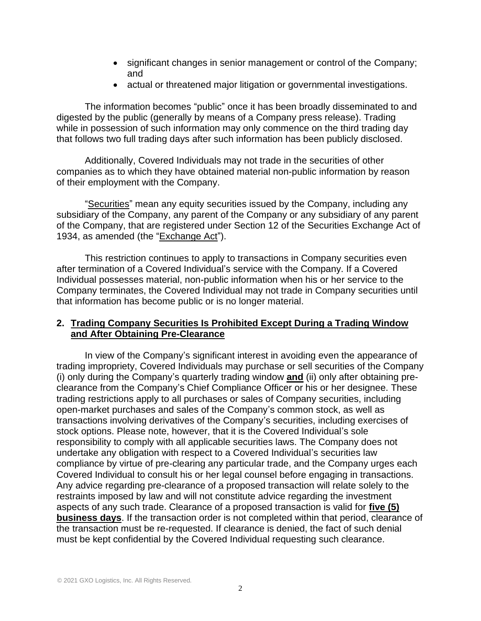- significant changes in senior management or control of the Company; and
- actual or threatened major litigation or governmental investigations.

The information becomes "public" once it has been broadly disseminated to and digested by the public (generally by means of a Company press release). Trading while in possession of such information may only commence on the third trading day that follows two full trading days after such information has been publicly disclosed.

Additionally, Covered Individuals may not trade in the securities of other companies as to which they have obtained material non-public information by reason of their employment with the Company.

"Securities" mean any equity securities issued by the Company, including any subsidiary of the Company, any parent of the Company or any subsidiary of any parent of the Company, that are registered under Section 12 of the Securities Exchange Act of 1934, as amended (the "Exchange Act").

This restriction continues to apply to transactions in Company securities even after termination of a Covered Individual's service with the Company. If a Covered Individual possesses material, non-public information when his or her service to the Company terminates, the Covered Individual may not trade in Company securities until that information has become public or is no longer material.

### **2. Trading Company Securities Is Prohibited Except During a Trading Window and After Obtaining Pre-Clearance**

In view of the Company's significant interest in avoiding even the appearance of trading impropriety, Covered Individuals may purchase or sell securities of the Company (i) only during the Company's quarterly trading window **and** (ii) only after obtaining preclearance from the Company's Chief Compliance Officer or his or her designee. These trading restrictions apply to all purchases or sales of Company securities, including open-market purchases and sales of the Company's common stock, as well as transactions involving derivatives of the Company's securities, including exercises of stock options. Please note, however, that it is the Covered Individual's sole responsibility to comply with all applicable securities laws. The Company does not undertake any obligation with respect to a Covered Individual's securities law compliance by virtue of pre-clearing any particular trade, and the Company urges each Covered Individual to consult his or her legal counsel before engaging in transactions. Any advice regarding pre-clearance of a proposed transaction will relate solely to the restraints imposed by law and will not constitute advice regarding the investment aspects of any such trade. Clearance of a proposed transaction is valid for **five (5) business days**. If the transaction order is not completed within that period, clearance of the transaction must be re-requested. If clearance is denied, the fact of such denial must be kept confidential by the Covered Individual requesting such clearance.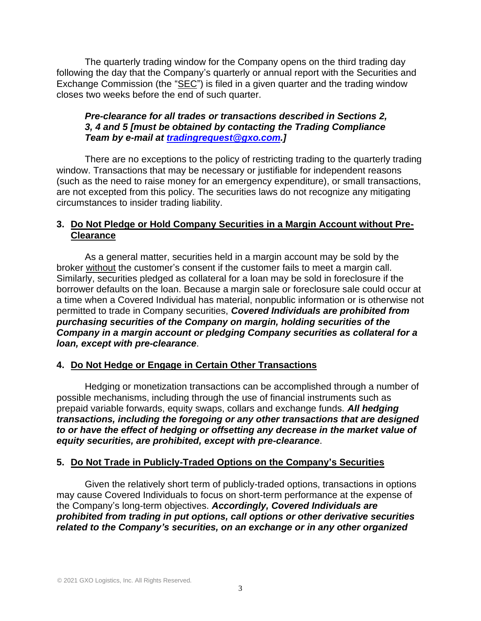The quarterly trading window for the Company opens on the third trading day following the day that the Company's quarterly or annual report with the Securities and Exchange Commission (the "SEC") is filed in a given quarter and the trading window closes two weeks before the end of such quarter.

# *Pre-clearance for all trades or transactions described in Sections 2, 3, 4 and 5 [must be obtained by contacting the Trading Compliance Team by e-mail at [tradingrequest@gxo.com.](mailto:tradingrequest@gxo.com)]*

There are no exceptions to the policy of restricting trading to the quarterly trading window. Transactions that may be necessary or justifiable for independent reasons (such as the need to raise money for an emergency expenditure), or small transactions, are not excepted from this policy. The securities laws do not recognize any mitigating circumstances to insider trading liability.

# **3. Do Not Pledge or Hold Company Securities in a Margin Account without Pre-Clearance**

As a general matter, securities held in a margin account may be sold by the broker without the customer's consent if the customer fails to meet a margin call. Similarly, securities pledged as collateral for a loan may be sold in foreclosure if the borrower defaults on the loan. Because a margin sale or foreclosure sale could occur at a time when a Covered Individual has material, nonpublic information or is otherwise not permitted to trade in Company securities, *Covered Individuals are prohibited from purchasing securities of the Company on margin, holding securities of the Company in a margin account or pledging Company securities as collateral for a loan, except with pre-clearance*.

# **4. Do Not Hedge or Engage in Certain Other Transactions**

Hedging or monetization transactions can be accomplished through a number of possible mechanisms, including through the use of financial instruments such as prepaid variable forwards, equity swaps, collars and exchange funds. *All hedging transactions, including the foregoing or any other transactions that are designed to or have the effect of hedging or offsetting any decrease in the market value of equity securities, are prohibited, except with pre-clearance*.

### **5. Do Not Trade in Publicly-Traded Options on the Company's Securities**

Given the relatively short term of publicly-traded options, transactions in options may cause Covered Individuals to focus on short-term performance at the expense of the Company's long-term objectives. *Accordingly, Covered Individuals are prohibited from trading in put options, call options or other derivative securities related to the Company's securities, on an exchange or in any other organized*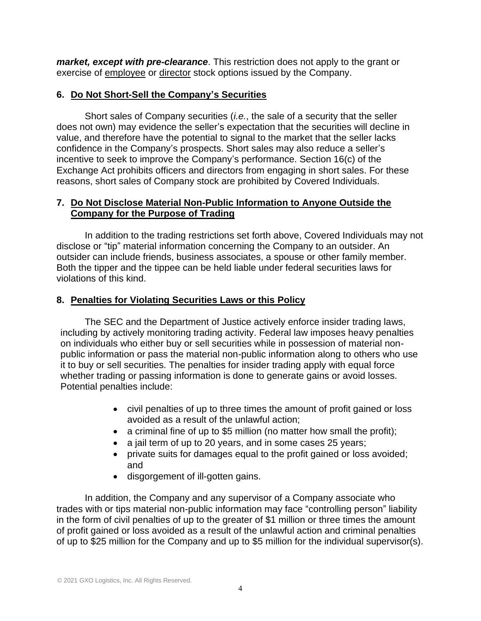*market, except with pre-clearance*. This restriction does not apply to the grant or exercise of employee or director stock options issued by the Company.

### **6. Do Not Short-Sell the Company's Securities**

Short sales of Company securities (*i.e.*, the sale of a security that the seller does not own) may evidence the seller's expectation that the securities will decline in value, and therefore have the potential to signal to the market that the seller lacks confidence in the Company's prospects. Short sales may also reduce a seller's incentive to seek to improve the Company's performance. Section 16(c) of the Exchange Act prohibits officers and directors from engaging in short sales. For these reasons, short sales of Company stock are prohibited by Covered Individuals.

# **7. Do Not Disclose Material Non-Public Information to Anyone Outside the Company for the Purpose of Trading**

In addition to the trading restrictions set forth above, Covered Individuals may not disclose or "tip" material information concerning the Company to an outsider. An outsider can include friends, business associates, a spouse or other family member. Both the tipper and the tippee can be held liable under federal securities laws for violations of this kind.

# **8. Penalties for Violating Securities Laws or this Policy**

The SEC and the Department of Justice actively enforce insider trading laws, including by actively monitoring trading activity. Federal law imposes heavy penalties on individuals who either buy or sell securities while in possession of material nonpublic information or pass the material non-public information along to others who use it to buy or sell securities. The penalties for insider trading apply with equal force whether trading or passing information is done to generate gains or avoid losses. Potential penalties include:

- civil penalties of up to three times the amount of profit gained or loss avoided as a result of the unlawful action;
- a criminal fine of up to \$5 million (no matter how small the profit);
- a jail term of up to 20 years, and in some cases 25 years;
- private suits for damages equal to the profit gained or loss avoided; and
- disgorgement of ill-gotten gains.

In addition, the Company and any supervisor of a Company associate who trades with or tips material non-public information may face "controlling person" liability in the form of civil penalties of up to the greater of \$1 million or three times the amount of profit gained or loss avoided as a result of the unlawful action and criminal penalties of up to \$25 million for the Company and up to \$5 million for the individual supervisor(s).